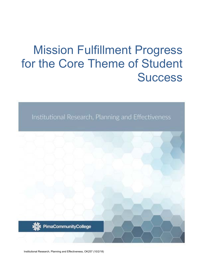# Mission Fulfillment Progress for the Core Theme of Student **Success**

Institutional Research, Planning and Effectiveness



Institutional Research, Planning and Effectiveness, OK257 (10/2/18)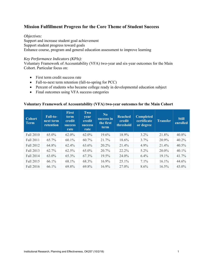## **Mission Fulfillment Progress for the Core Theme of Student Success**

#### *Objectives:*

Support and increase student goal achievement Support student progress toward goals Enhance course, program and general education assessment to improve learning

#### *Key Performance Indicators (KPIs):*

Voluntary Framework of Accountability (VFA) two-year and six-year outcomes for the Main Cohort. Particular focus on:

- First term credit success rate
- Fall-to-next term retention (fall-to-spring for PCC)
- Percent of students who became college ready in developmental education subject
- Final outcomes using VFA success categories

#### **Voluntary Framework of Accountability (VFA) two-year outcomes for the Main Cohort**

| <b>Cohort</b><br><b>Term</b> | <b>Fall-to-</b><br>next term<br>retention | <b>First</b><br>term<br>credit<br><b>success</b><br>rate | Two<br>year<br>credit<br><b>success</b><br>rate | No.<br>success in<br>the first<br><b>term</b> | <b>Reached</b><br>credit<br>threshold | <b>Completed</b><br>certificate<br>or degree | <b>Transfer</b> | <b>Still</b><br>enrolled |
|------------------------------|-------------------------------------------|----------------------------------------------------------|-------------------------------------------------|-----------------------------------------------|---------------------------------------|----------------------------------------------|-----------------|--------------------------|
| Fall 2010                    | $65.0\%$                                  | $62.0\%$                                                 | $62.0\%$                                        | $19.6\%$                                      | 18.9%                                 | $3.2\%$                                      | 21.8%           | 40.8%                    |
| Fall 2011                    | 65.7%                                     | $60.1\%$                                                 | $60.7\%$                                        | 21.7%                                         | $18.6\%$                              | 3.7%                                         | 20.9%           | $40.2\%$                 |
| Fall 2012                    | 64.8%                                     | 62.4%                                                    | 63.6%                                           | 20.2%                                         | 21.4%                                 | $4.9\%$                                      | 21.4%           | $40.5\%$                 |
| Fall 2013                    | 62.7%                                     | $62.5\%$                                                 | 65.0%                                           | $20.7\%$                                      | 22.2%                                 | $5.2\%$                                      | 20.0%           | $40.1\%$                 |
| Fall 2014                    | 63.0%                                     | 65.3%                                                    | 67.3%                                           | 19.5%                                         | 24.0%                                 | $6.4\%$                                      | $19.1\%$        | 41.7%                    |
| Fall 2015                    | 66.1%                                     | 68.1%                                                    | 68.3%                                           | $16.9\%$                                      | $25.1\%$                              | $7.1\%$                                      | $16.1\%$        | 44.6%                    |
| Fall 2016                    | 66.1%                                     | 69.8%                                                    | 69.8%                                           | 16.9%                                         | 27.0%                                 | 8.6%                                         | $16.5\%$        | $43.0\%$                 |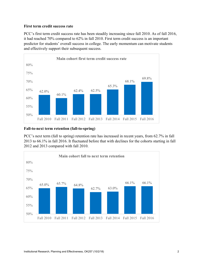### **First term credit success rate**

PCC's first term credit success rate has been steadily increasing since fall 2010. As of fall 2016, it had reached 70% compared to 62% in fall 2010. First term credit success is an important predictor for students' overall success in college. The early momentum can motivate students and effectively support their subsequent success.



#### **Fall-to-next term retention (fall-to-spring)**

PCC's next term (fall to spring) retention rate has increased in recent years, from 62.7% in fall 2013 to 66.1% in fall 2016. It fluctuated before that with declines for the cohorts starting in fall 2012 and 2013 compared with fall 2010.

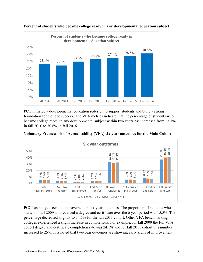



PCC initiated a developmental education redesign to support students and build a strong foundation for College success. The VFA metrics indicate that the percentage of students who became college ready in any developmental subject within two years has increased from 23.1% in fall 2010 to 30.6% in fall 2016.



**Voluntary Framework of Accountability (VFA) six-year outcomes for the Main Cohort** 

PCC has not yet seen an improvement in six-year outcomes. The proportion of students who started in fall 2009 and received a degree and certificate over the 6 year period was 15.5%. This percentage decreased slightly to 14.5% for the fall 2011 cohort. Other VFA benchmarking colleges experienced a slight increase in completions. For example, for fall 2009 the full VFA cohort degree and certificate completion rate was 24.1% and for fall 2011 cohort this number increased to 25%. It is noted that two-year outcomes are showing early signs of improvement.